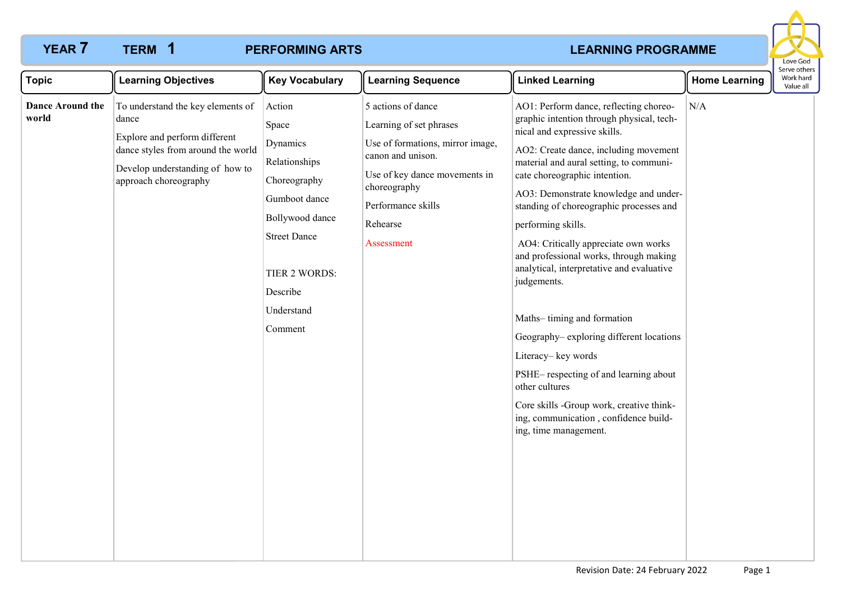**1**

## **PERFORMING ARTS**

# **YEAR 7 TERM 1 PERFORMING ARTS PERENT ARTS LEARNING PROGRAMME**



| <b>Topic</b>                     | <b>Learning Objectives</b>                                                                                                                                                    | <b>Key Vocabulary</b>                                                                                                                                                         | <b>Learning Sequence</b>                                                                                                                                                                                | <b>Linked Learning</b>                                                                                                                                                                                                                                                                                                                                                                                                                                                                                                                                                                                                                                                                                                                                                   | <b>Home Learning</b> | וסו עם טנוופו<br>Work hard<br>Value all |
|----------------------------------|-------------------------------------------------------------------------------------------------------------------------------------------------------------------------------|-------------------------------------------------------------------------------------------------------------------------------------------------------------------------------|---------------------------------------------------------------------------------------------------------------------------------------------------------------------------------------------------------|--------------------------------------------------------------------------------------------------------------------------------------------------------------------------------------------------------------------------------------------------------------------------------------------------------------------------------------------------------------------------------------------------------------------------------------------------------------------------------------------------------------------------------------------------------------------------------------------------------------------------------------------------------------------------------------------------------------------------------------------------------------------------|----------------------|-----------------------------------------|
| <b>Dance Around the</b><br>world | To understand the key elements of<br>dance<br>Explore and perform different<br>dance styles from around the world<br>Develop understanding of how to<br>approach choreography | Action<br>Space<br>Dynamics<br>Relationships<br>Choreography<br>Gumboot dance<br>Bollywood dance<br><b>Street Dance</b><br>TIER 2 WORDS:<br>Describe<br>Understand<br>Comment | 5 actions of dance<br>Learning of set phrases<br>Use of formations, mirror image,<br>canon and unison.<br>Use of key dance movements in<br>choreography<br>Performance skills<br>Rehearse<br>Assessment | AO1: Perform dance, reflecting choreo-<br>graphic intention through physical, tech-<br>nical and expressive skills.<br>AO2: Create dance, including movement<br>material and aural setting, to communi-<br>cate choreographic intention.<br>AO3: Demonstrate knowledge and under-<br>standing of choreographic processes and<br>performing skills.<br>AO4: Critically appreciate own works<br>and professional works, through making<br>analytical, interpretative and evaluative<br>judgements.<br>Maths-timing and formation<br>Geography-exploring different locations<br>Literacy-key words<br>PSHE-respecting of and learning about<br>other cultures<br>Core skills -Group work, creative think-<br>ing, communication, confidence build-<br>ing, time management. | N/A                  |                                         |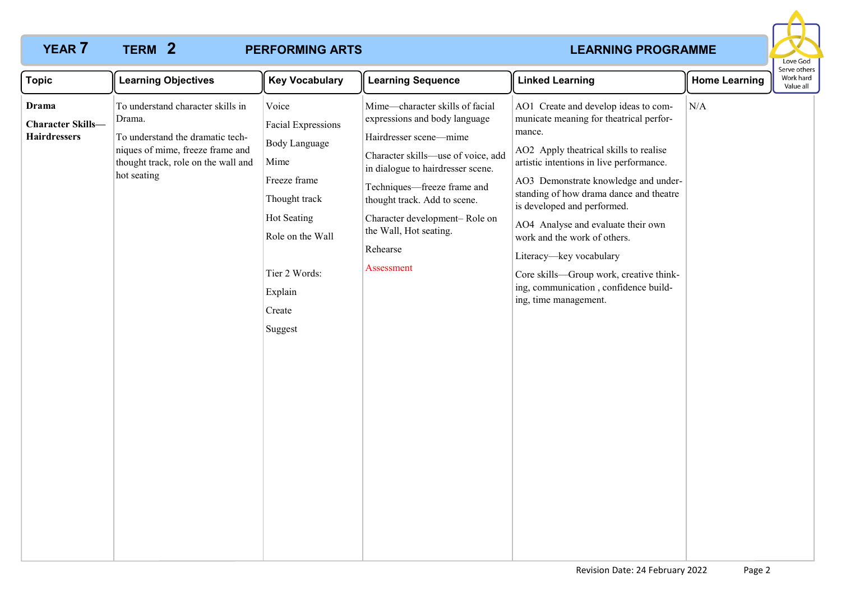**2**

## **PERFORMING ARTS**

# **YEAR 7 TERM 2 PERFORMING ARTS PERENT PROGRAMME**



| <b>Topic</b>                                                    | <b>Learning Objectives</b>                                                                                                                                                | <b>Key Vocabulary</b>                                                                                                                                                                   | <b>Learning Sequence</b>                                                                                                                                                                                                                                                                                                  | <b>Linked Learning</b>                                                                                                                                                                                                                                                                                                                                                                                                                                                                                          | <b>Home Learning</b> | ו יכטווכו.<br>Work hard<br>Value all |
|-----------------------------------------------------------------|---------------------------------------------------------------------------------------------------------------------------------------------------------------------------|-----------------------------------------------------------------------------------------------------------------------------------------------------------------------------------------|---------------------------------------------------------------------------------------------------------------------------------------------------------------------------------------------------------------------------------------------------------------------------------------------------------------------------|-----------------------------------------------------------------------------------------------------------------------------------------------------------------------------------------------------------------------------------------------------------------------------------------------------------------------------------------------------------------------------------------------------------------------------------------------------------------------------------------------------------------|----------------------|--------------------------------------|
| <b>Drama</b><br><b>Character Skills-</b><br><b>Hairdressers</b> | To understand character skills in<br>Drama.<br>To understand the dramatic tech-<br>niques of mime, freeze frame and<br>thought track, role on the wall and<br>hot seating | Voice<br><b>Facial Expressions</b><br><b>Body Language</b><br>Mime<br>Freeze frame<br>Thought track<br>Hot Seating<br>Role on the Wall<br>Tier 2 Words:<br>Explain<br>Create<br>Suggest | Mime-character skills of facial<br>expressions and body language<br>Hairdresser scene-mime<br>Character skills-use of voice, add<br>in dialogue to hairdresser scene.<br>Techniques—freeze frame and<br>thought track. Add to scene.<br>Character development-Role on<br>the Wall, Hot seating.<br>Rehearse<br>Assessment | AO1 Create and develop ideas to com-<br>municate meaning for theatrical perfor-<br>mance.<br>AO2 Apply theatrical skills to realise<br>artistic intentions in live performance.<br>AO3 Demonstrate knowledge and under-<br>standing of how drama dance and theatre<br>is developed and performed.<br>AO4 Analyse and evaluate their own<br>work and the work of others.<br>Literacy-key vocabulary<br>Core skills-Group work, creative think-<br>ing, communication, confidence build-<br>ing, time management. | N/A                  |                                      |